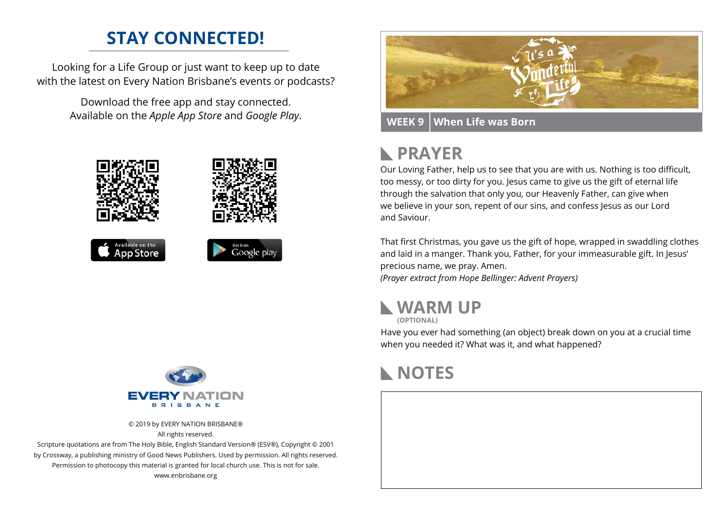### **STAY CONNECTED!**

Looking for a Life Group or just want to keep up to date with the latest on Every Nation Brisbane's events or podcasts?

> Download the free app and stay connected. Available on the *Apple App Store* and *Google Play*.





© 2019 by EVERY NATION BRISBANE® All rights reserved.

Scripture quotations are from The Holy Bible, English Standard Version® (ESV®), Copyright © 2001 by Crossway, a publishing ministry of Good News Publishers. Used by permission. All rights reserved. Permission to photocopy this material is granted for local church use. This is not for sale. www.enbrisbane.org



**WEEK 9 When Life was Born**

# **PRAYER**

Our Loving Father, help us to see that you are with us. Nothing is too difficult, too messy, or too dirty for you. Jesus came to give us the gift of eternal life through the salvation that only you, our Heavenly Father, can give when we believe in your son, repent of our sins, and confess Jesus as our Lord and Saviour.

That first Christmas, you gave us the gift of hope, wrapped in swaddling clothes and laid in a manger. Thank you, Father, for your immeasurable gift. In Jesus' precious name, we pray. Amen. *(Prayer extract from Hope Bellinger: Advent Prayers)*



**(OPTIONAL)**

Have you ever had something (an object) break down on you at a crucial time when you needed it? What was it, and what happened?